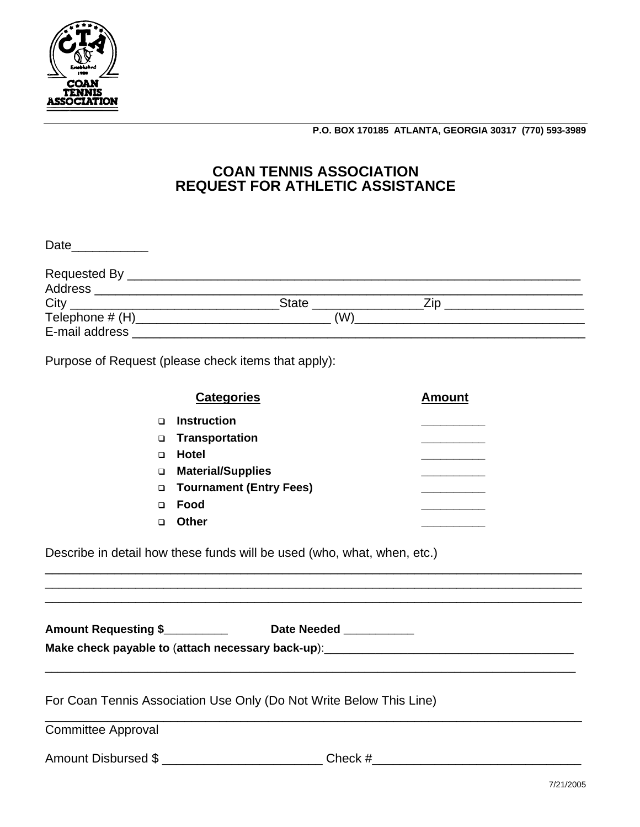

**P.O. BOX 170185 ATLANTA, GEORGIA 30317 (770) 593-3989** 

## **COAN TENNIS ASSOCIATION REQUEST FOR ATHLETIC ASSISTANCE**

| Date                      |              |     |  |
|---------------------------|--------------|-----|--|
|                           |              |     |  |
| Address                   |              |     |  |
|                           | <b>State</b> | 7in |  |
| Telephone # (H)__________ | (W)          |     |  |
| E-mail address            |              |     |  |

Purpose of Request (please check items that apply):

|   | <b>Categories</b>                | <b>Amount</b> |
|---|----------------------------------|---------------|
|   | Instruction                      |               |
| ❏ | Transportation                   |               |
| ⊓ | Hotel                            |               |
| □ | <b>Material/Supplies</b>         |               |
|   | <b>D</b> Tournament (Entry Fees) |               |
| ⊓ | Food                             |               |
|   | Other                            |               |

Describe in detail how these funds will be used (who, what, when, etc.)

| <b>Amount Requesting \$</b>                       | Date Needed |
|---------------------------------------------------|-------------|
| Make check payable to (attach necessary back-up): |             |

\_\_\_\_\_\_\_\_\_\_\_\_\_\_\_\_\_\_\_\_\_\_\_\_\_\_\_\_\_\_\_\_\_\_\_\_\_\_\_\_\_\_\_\_\_\_\_\_\_\_\_\_\_\_\_\_\_\_\_\_\_\_\_\_\_\_\_\_\_\_\_\_\_\_\_\_\_\_\_\_\_\_\_

\_\_\_\_\_\_\_\_\_\_\_\_\_\_\_\_\_\_\_\_\_\_\_\_\_\_\_\_\_\_\_\_\_\_\_\_\_\_\_\_\_\_\_\_\_\_\_\_\_\_\_\_\_\_\_\_\_\_\_\_\_\_\_\_\_\_\_\_\_\_\_\_\_\_\_\_\_

\_\_\_\_\_\_\_\_\_\_\_\_\_\_\_\_\_\_\_\_\_\_\_\_\_\_\_\_\_\_\_\_\_\_\_\_\_\_\_\_\_\_\_\_\_\_\_\_\_\_\_\_\_\_\_\_\_\_\_\_\_\_\_\_\_\_\_\_\_\_\_\_\_\_\_\_\_ \_\_\_\_\_\_\_\_\_\_\_\_\_\_\_\_\_\_\_\_\_\_\_\_\_\_\_\_\_\_\_\_\_\_\_\_\_\_\_\_\_\_\_\_\_\_\_\_\_\_\_\_\_\_\_\_\_\_\_\_\_\_\_\_\_\_\_\_\_\_\_\_\_\_\_\_\_ \_\_\_\_\_\_\_\_\_\_\_\_\_\_\_\_\_\_\_\_\_\_\_\_\_\_\_\_\_\_\_\_\_\_\_\_\_\_\_\_\_\_\_\_\_\_\_\_\_\_\_\_\_\_\_\_\_\_\_\_\_\_\_\_\_\_\_\_\_\_\_\_\_\_\_\_\_

For Coan Tennis Association Use Only (Do Not Write Below This Line)

Committee Approval

Amount Disbursed \$ \_\_\_\_\_\_\_\_\_\_\_\_\_\_\_\_\_\_\_\_\_\_\_\_\_\_\_\_\_\_Check #\_\_\_\_\_\_\_\_\_\_\_\_\_\_\_\_\_\_\_\_\_\_\_\_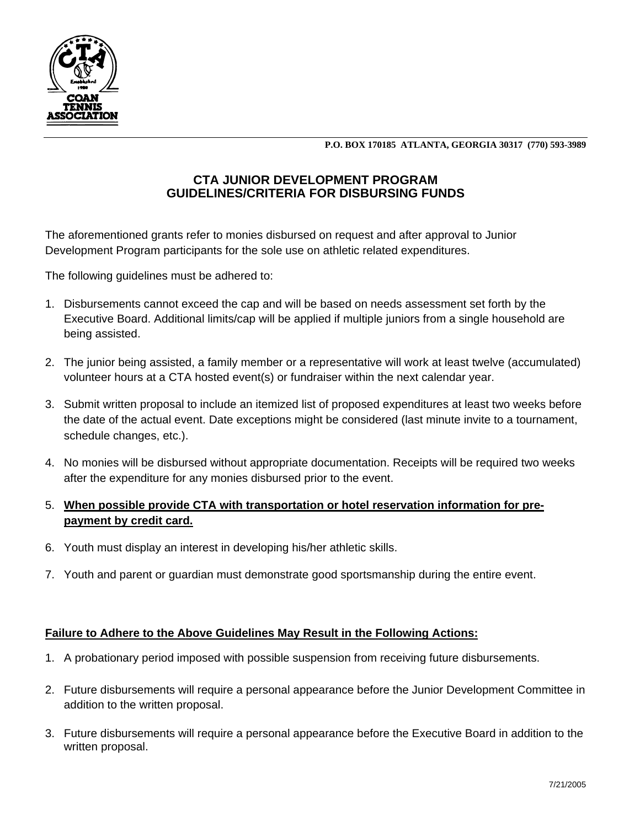

**P.O. BOX 170185 ATLANTA, GEORGIA 30317 (770) 593-3989** 

## **CTA JUNIOR DEVELOPMENT PROGRAM GUIDELINES/CRITERIA FOR DISBURSING FUNDS**

The aforementioned grants refer to monies disbursed on request and after approval to Junior Development Program participants for the sole use on athletic related expenditures.

The following guidelines must be adhered to:

- 1. Disbursements cannot exceed the cap and will be based on needs assessment set forth by the Executive Board. Additional limits/cap will be applied if multiple juniors from a single household are being assisted.
- 2. The junior being assisted, a family member or a representative will work at least twelve (accumulated) volunteer hours at a CTA hosted event(s) or fundraiser within the next calendar year.
- 3. Submit written proposal to include an itemized list of proposed expenditures at least two weeks before the date of the actual event. Date exceptions might be considered (last minute invite to a tournament, schedule changes, etc.).
- 4. No monies will be disbursed without appropriate documentation. Receipts will be required two weeks after the expenditure for any monies disbursed prior to the event.

## 5. **When possible provide CTA with transportation or hotel reservation information for prepayment by credit card.**

- 6. Youth must display an interest in developing his/her athletic skills.
- 7. Youth and parent or guardian must demonstrate good sportsmanship during the entire event.

## **Failure to Adhere to the Above Guidelines May Result in the Following Actions:**

- 1. A probationary period imposed with possible suspension from receiving future disbursements.
- 2. Future disbursements will require a personal appearance before the Junior Development Committee in addition to the written proposal.
- 3. Future disbursements will require a personal appearance before the Executive Board in addition to the written proposal.